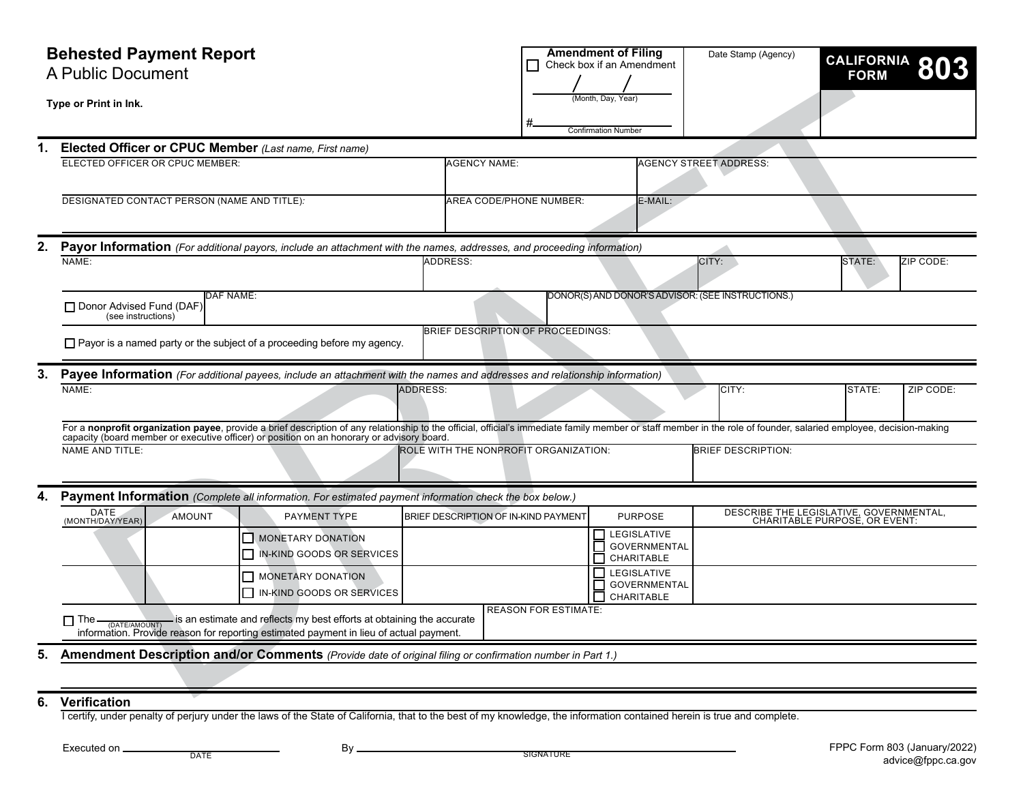| <b>Behested Payment Report</b><br>A Public Document |                                                                                                                                                                                                                                |                                      |                                    | <b>Amendment of Filing</b><br>Check box if an Amendment | Date Stamp (Agency)                                                      | <b>CALIFORNIA</b><br><b>FORM</b> |           |  |
|-----------------------------------------------------|--------------------------------------------------------------------------------------------------------------------------------------------------------------------------------------------------------------------------------|--------------------------------------|------------------------------------|---------------------------------------------------------|--------------------------------------------------------------------------|----------------------------------|-----------|--|
|                                                     | Type or Print in Ink.                                                                                                                                                                                                          |                                      |                                    | (Month, Day, Year)<br><b>Confirmation Number</b>        |                                                                          |                                  |           |  |
|                                                     | Elected Officer or CPUC Member (Last name, First name)                                                                                                                                                                         |                                      |                                    |                                                         |                                                                          |                                  |           |  |
|                                                     | ELECTED OFFICER OR CPUC MEMBER:                                                                                                                                                                                                | <b>AGENCY NAME:</b>                  |                                    |                                                         | <b>AGENCY STREET ADDRESS:</b>                                            |                                  |           |  |
|                                                     | DESIGNATED CONTACT PERSON (NAME AND TITLE):                                                                                                                                                                                    |                                      | AREA CODE/PHONE NUMBER:<br>E-MAIL: |                                                         |                                                                          |                                  |           |  |
| 2.                                                  | Payor Information (For additional payors, include an attachment with the names, addresses, and proceeding information)                                                                                                         |                                      |                                    |                                                         |                                                                          |                                  |           |  |
|                                                     | NAME:<br><b>ADDRESS:</b><br>STATE:<br>CITY:                                                                                                                                                                                    |                                      |                                    |                                                         |                                                                          |                                  | ZIP CODE: |  |
|                                                     | DONOR(S) AND DONOR'S ADVISOR: (SEE INSTRUCTIONS.)<br><b>DAF NAME:</b><br>□ Donor Advised Fund (DAF)<br>(see instructions)                                                                                                      |                                      |                                    |                                                         |                                                                          |                                  |           |  |
|                                                     | BRIEF DESCRIPTION OF PROCEEDINGS:<br>$\Box$ Payor is a named party or the subject of a proceeding before my agency.                                                                                                            |                                      |                                    |                                                         |                                                                          |                                  |           |  |
| 3.                                                  | Payee Information (For additional payees, include an attachment with the names and addresses and relationship information)                                                                                                     |                                      |                                    |                                                         |                                                                          |                                  |           |  |
|                                                     | NAME:                                                                                                                                                                                                                          | <b>ADDRESS:</b>                      |                                    |                                                         | CITY:                                                                    | STATE:                           | ZIP CODE: |  |
|                                                     | For a nonprofit organization payee, provide a brief description of any relationship to the official, official's immediate family member or staff member in the role of founder, salaried employee, decision-making capacity (b |                                      |                                    |                                                         |                                                                          |                                  |           |  |
|                                                     | <b>BRIEF DESCRIPTION:</b><br><b>NAME AND TITLE:</b><br>ROLE WITH THE NONPROFIT ORGANIZATION:                                                                                                                                   |                                      |                                    |                                                         |                                                                          |                                  |           |  |
| 4.                                                  | Payment Information (Complete all information. For estimated payment information check the box below.)                                                                                                                         |                                      |                                    |                                                         |                                                                          |                                  |           |  |
|                                                     | DATE<br>(MONTH/DAY/YEAR)<br><b>PAYMENT TYPE</b><br>AMOUNT                                                                                                                                                                      | BRIEF DESCRIPTION OF IN-KIND PAYMENT |                                    | <b>PURPOSE</b>                                          | DESCRIBE THE LEGISLATIVE, GOVERNMENTAL,<br>CHARITABLE PURPOSE, OR EVENT: |                                  |           |  |
|                                                     | MONETARY DONATION<br>IN-KIND GOODS OR SERVICES                                                                                                                                                                                 |                                      |                                    | LEGISLATIVE<br><b>GOVERNMENTAL</b><br>CHARITABLE<br>П   |                                                                          |                                  |           |  |
|                                                     | MONETARY DONATION<br>IN-KIND GOODS OR SERVICES                                                                                                                                                                                 |                                      |                                    | LEGISLATIVE<br><b>GOVERNMENTAL</b><br>CHARITABLE        |                                                                          |                                  |           |  |
|                                                     | <b>REASON FOR ESTIMATE:</b><br>$\Box$ The $\Box$ The $\Box$ is an estimate and reflects my best efforts at obtaining the accurate<br>information. Provide reason for reporting estimated payment in lieu of actual payment.    |                                      |                                    |                                                         |                                                                          |                                  |           |  |
| 5.                                                  | Amendment Description and/or Comments (Provide date of original filing or confirmation number in Part 1.)                                                                                                                      |                                      |                                    |                                                         |                                                                          |                                  |           |  |
|                                                     |                                                                                                                                                                                                                                |                                      |                                    |                                                         |                                                                          |                                  |           |  |
| 6.                                                  | Verification                                                                                                                                                                                                                   |                                      |                                    |                                                         |                                                                          |                                  |           |  |

I certify, under penalty of perjury under the laws of the State of California, that to the best of my knowledge, the information contained herein is true and complete.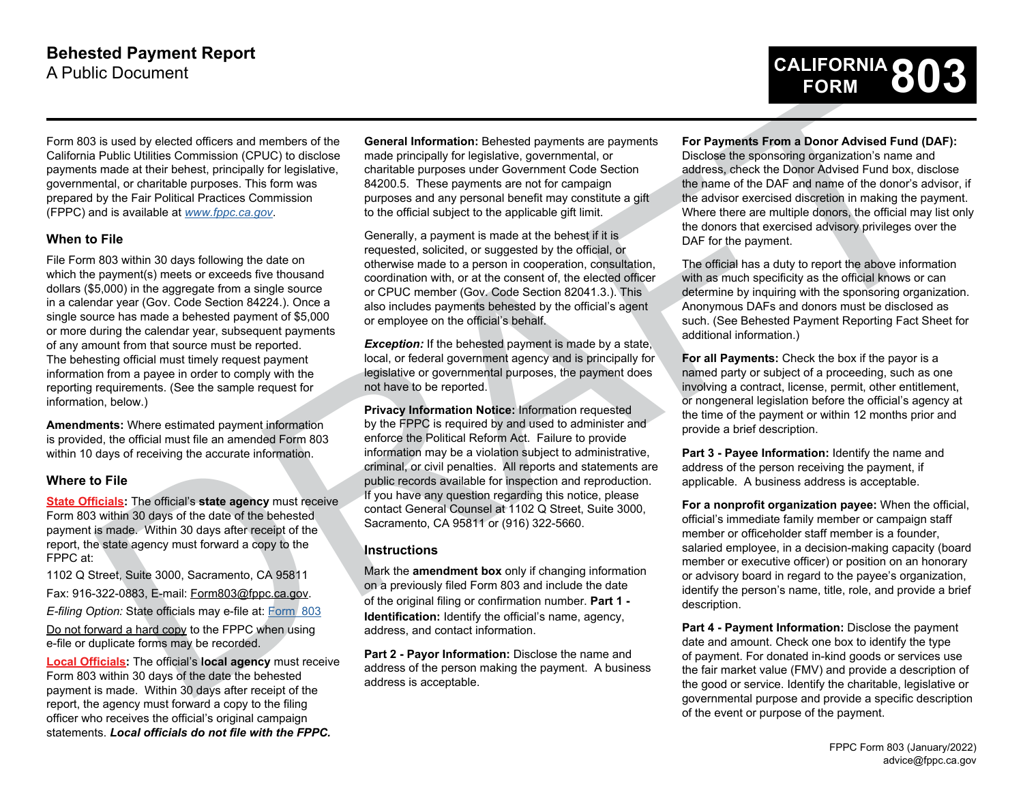

Form 803 is used by elected officers and members of the California Public Utilities Commission (CPUC) to disclose payments made at their behest, principally for legislative, governmental, or charitable purposes. This form was prepared by the Fair Political Practices Commission (FPPC) and is available at *www.fppc.ca.gov*.

## **When to File**

File Form 803 within 30 days following the date on which the payment(s) meets or exceeds five thousand dollars (\$5,000) in the aggregate from a single source in a calendar year (Gov. Code Section 84224.). Once a single source has made a behested payment of \$5,000 or more during the calendar year, subsequent payments of any amount from that source must be reported. The behesting official must timely request payment information from a payee in order to comply with the reporting requirements. (See the sample request for information, below.)

**Amendments:** Where estimated payment information is provided, the official must file an amended Form 803 within 10 days of receiving the accurate information.

### **Where to File**

**State Officials:** The official's **state agency** must receive Form 803 within 30 days of the date of the behested payment is made. Within 30 days after receipt of the report, the state agency must forward a copy to the FPPC at:

1102 Q Street, Suite 3000, Sacramento, CA 95811

Fax: 916-322-0883, E-mail: Form803@fppc.ca.gov.

*E-filing Option:* State officials may e-file at: Form 803

Do not forward a hard copy to the FPPC when using e-file or duplicate forms may be recorded.

**Local Officials:** The official's **local agency** must receive Form 803 within 30 days of the date the behested payment is made. Within 30 days after receipt of the report, the agency must forward a copy to the filing officer who receives the official's original campaign statements. *Local officials do not file with the FPPC.*

**General Information:** Behested payments are payments made principally for legislative, governmental, or charitable purposes under Government Code Section 84200.5.These payments are not for campaign purposes and any personal benefit may constitute a gift to the official subject to the applicable gift limit.

Generally, a payment is made at the behest if it is requested, solicited, or suggested by the official, or otherwise made to a person in cooperation, consultation, coordination with, or at the consent of, the elected officer or CPUC member (Gov. Code Section 82041.3.). This also includes payments behested by the official's agent or employee on the official's behalf.

**Exception:** If the behested payment is made by a state, local, or federal government agency and is principally for legislative or governmental purposes, the payment does not have to be reported.

Is used by excels afterna adjunctions of the General Information: [D](https://smartforms.fppc.ca.gov/)etection particle properties are not be a computed to the computed and the computed and the computed and the computed and the computed and the computed an **Privacy Information Notice:** Information requested by the FPPC is required by and used to administer and enforce the Political Reform Act. Failure to provide information may be a violation subject to administrative, criminal, or civil penalties. All reports and statements are public records available for inspection and reproduction. If you have any question regarding this notice, please contact General Counsel at 1102 Q Street, Suite 3000, Sacramento, CA 95811 or (916) 322-5660.

## **Instructions**

Mark the **amendment box** only if changing information on a previously filed Form 803 and include the date of the original filing or confirmation number. **Part 1 - Identification:** Identify the official's name, agency, address, and contact information.

**Part 2 - Payor Information:** Disclose the name and address of the person making the payment. A business address is acceptable.

#### **For Payments From a Donor Advised Fund (DAF):**

Disclose the sponsoring organization's name and address, check the Donor Advised Fund box, disclose the name of the DAF and name of the donor's advisor, if the advisor exercised discretion in making the payment. Where there are multiple donors, the official may list only the donors that exercised advisory privileges over the DAF for the payment.

The official has a duty to report the above information with as much specificity as the official knows or can determine by inquiring with the sponsoring organization. Anonymous DAFs and donors must be disclosed as such. (See Behested Payment Reporting Fact Sheet for additional information.)

**For all Payments:** Check the box if the payor is a named party or subject of a proceeding, such as one involving a contract, license, permit, other entitlement, or nongeneral legislation before the official's agency at the time of the payment or within 12 months prior and provide a brief description.

**Part 3 - Payee Information:** Identify the name and address of the person receiving the payment, if applicable. A business address is acceptable.

**For a nonprofit organization payee:** When the official, official's immediate family member or campaign staff member or officeholder staff member is a founder, salaried employee, in a decision-making capacity (board member or executive officer) or position on an honorary or advisory board in regard to the payee's organization, identify the person's name, title, role, and provide a brief description.

**Part 4 - Payment Information:** Disclose the payment date and amount. Check one box to identify the type of payment. For donated in-kind goods or services use the fair market value (FMV) and provide a description of the good or service. Identify the charitable, legislative or governmental purpose and provide a specific description of the event or purpose of the payment.